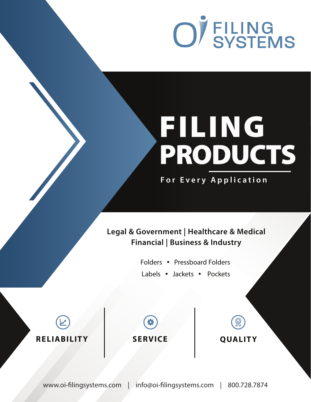

# FILING PRODUCTS

**For Every Application**

### **Legal & Government | Healthcare & Medical Financial | Business & Industry**

Folders • Pressboard Folders Labels • Jackets • Pockets





**QUALITY**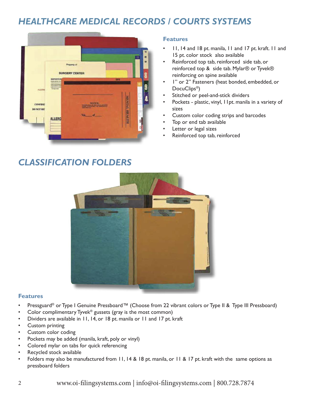### *HEALTHCARE MEDICAL RECORDS / COURTS SYSTEMS*



#### **Features**

- 11, 14 and 18 pt. manila, 11 and 17 pt. kraft. 11 and 15 pt. color stock also available
- Reinforced top tab, reinforced side tab, or reinforced top & side tab. Mylar® or Tyvek® reinforcing on spine available
- I" or 2" Fasteners (heat bonded, embedded, or DocuClips<sup>®</sup>)
- Stitched or peel-and-stick dividers
- Pockets plastic, vinyl, I l pt. manila in a variety of sizes
- Custom color coding strips and barcodes
- Top or end tab available
- Letter or legal sizes
- Reinforced top tab, reinforced

### *CLASSIFICATION FOLDERS*



#### **Features**

- Pressguard® or Type I Genuine Pressboard™ (Choose from 22 vibrant colors or Type II & Type III Pressboard)
- Color complimentary Tyvek® gussets (gray is the most common)
- Dividers are available in 11, 14, or 18 pt. manila or 11 and 17 pt. kraft
- Custom printing
- Custom color coding
- Pockets may be added (manila, kraft, poly or vinyl)
- Colored mylar on tabs for quick referencing
- Recycled stock available
- Folders may also be manufactured from 11, 14 & 18 pt. manila, or 11 & 17 pt. kraft with the same options as pressboard folders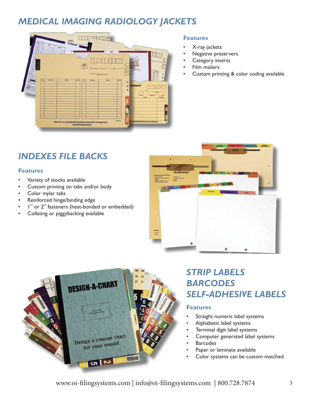### *MEDICAL IMAGING RADIOLOGY JACKETS*



#### **Features**

- X-ray jackets
- Negative preservers
- Category inserts
- Film mailers
- Custom printing & color coding available

## *INDEXES FILE BACKS*

#### **Features**

- Variety of stocks available
- Custom printing on tabs and/or body
- Color mylar tabs
- Reinforced hinge/binding edge
- I" or 2" fasteners (heat-bonded or embedded)
- Collating or piggybacking available





### *STRIP LABELS BARCODES SELF-ADHESIVE LABELS*

#### **Features**

- Straight numeric label systems
- Alphabetic label systems
- Terminal digit label systems
- Computer generated label systems
- **Barcodes**
- Paper or laminate available
- Color systems can be custom matched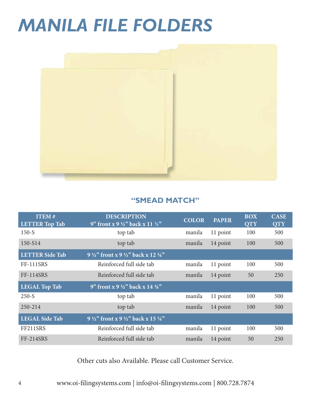## *MANILA FILE FOLDERS*



#### **"SMEAD MATCH"**

| <b>ITEM#</b><br><b>LETTER Top Tab</b> | <b>DESCRIPTION</b><br>9" front x 9 $\frac{1}{2}$ " back x 11 $\frac{3}{4}$ " | <b>COLOR</b> | <b>PAPER</b> | <b>BOX</b><br><b>QTY</b> | <b>CASE</b><br><b>QTY</b> |
|---------------------------------------|------------------------------------------------------------------------------|--------------|--------------|--------------------------|---------------------------|
| $150-S$                               | top tab                                                                      | manila       | 11 point     | 100                      | 500                       |
| 150-S14                               | top tab                                                                      | manila       | 14 point     | <b>100</b>               | 500                       |
| <b>LETTER Side Tab</b>                | 9 $\frac{1}{2}$ " front x 9 $\frac{1}{2}$ " back x 12 $\frac{1}{4}$ "        |              |              |                          |                           |
| <b>FF-111SRS</b>                      | Reinforced full side tab                                                     | manila       | 11 point     | 100                      | 500                       |
| <b>FF-114SRS</b>                      | Reinforced full side tab                                                     | manila       | 14 point     | 50                       | 250                       |
| <b>LEGAL Top Tab</b>                  | 9" front x 9 $\frac{1}{2}$ " back x 14 $\frac{3}{4}$ "                       |              |              |                          |                           |
| $250-S$                               | top tab                                                                      | manila       | 11 point     | 100                      | 500                       |
| 250-214                               | top tab                                                                      | manila       | 14 point     | 100                      | 500                       |
| <b>LEGAL Side Tab</b>                 | 9 $\frac{1}{2}$ " front x 9 $\frac{1}{2}$ " back x 15 $\frac{1}{4}$ "        |              |              |                          |                           |
| FF211SRS                              | Reinforced full side tab                                                     | manila       | 11 point     | 100                      | 500                       |
| <b>FF-214SRS</b>                      | Reinforced full side tab                                                     | manila       | 14 point     | 50                       | 250                       |

Other cuts also Available. Please call Customer Service.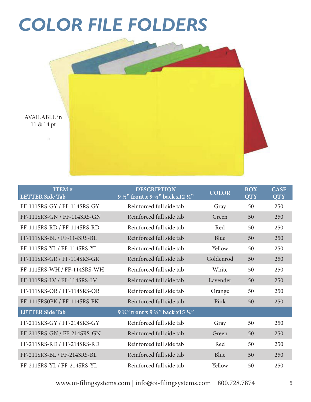# *COLOR FILE FOLDERS*



| <b>ITEM#</b><br><b>LETTER Side Tab</b> | <b>DESCRIPTION</b><br>9 $\frac{1}{2}$ front x 9 $\frac{1}{2}$ back x 12 $\frac{1}{4}$ " | <b>COLOR</b> | <b>BOX</b><br><b>QTY</b> | <b>CASE</b><br><b>QTY</b> |
|----------------------------------------|-----------------------------------------------------------------------------------------|--------------|--------------------------|---------------------------|
| FF-111SRS-GY / FF-114SRS-GY            | Reinforced full side tab                                                                | Gray         | 50                       | 250                       |
| FF-111SRS-GN / FF-114SRS-GN            | Reinforced full side tab                                                                | Green        | 50                       | 250                       |
| FF-111SRS-RD / FF-114SRS-RD            | Reinforced full side tab                                                                | Red          | 50                       | 250                       |
| FF-111SRS-BL / FF-114SRS-BL            | Reinforced full side tab                                                                | Blue         | 50                       | 250                       |
| FF-111SRS-YL / FF-114SRS-YL            | Reinforced full side tab                                                                | Yellow       | 50                       | 250                       |
| FF-111SRS-GR / FF-114SRS-GR            | Reinforced full side tab                                                                | Goldenrod    | 50                       | 250                       |
| FF-111SRS-WH / FF-114SRS-WH            | Reinforced full side tab                                                                | White        | 50                       | 250                       |
| FF-111SRS-LV / FF-114SRS-LV            | Reinforced full side tab                                                                | Lavender     | 50                       | 250                       |
| FF-111SRS-OR / FF-114SRS-OR            | Reinforced full side tab                                                                | Orange       | 50                       | 250                       |
| FF-111SRS0PK / FF-114SRS-PK            | Reinforced full side tab                                                                | Pink         | 50                       | 250                       |
| <b>LETTER Side Tab</b>                 | 9 $\frac{1}{2}$ front x 9 $\frac{1}{2}$ back x15 $\frac{1}{4}$ "                        |              |                          |                           |
| FF-211SRS-GY / FF-214SRS-GY            | Reinforced full side tab                                                                | Gray         | 50                       | 250                       |
| FF-211SRS-GN / FF-214SRS-GN            | Reinforced full side tab                                                                | Green        | 50                       | 250                       |
| FF-211SRS-RD / FF-214SRS-RD            | Reinforced full side tab                                                                | Red          | 50                       | 250                       |
| FF-211SRS-BL / FF-214SRS-BL            | Reinforced full side tab                                                                | Blue         | 50                       | 250                       |
| FF-211SRS-YL / FF-214SRS-YL            | Reinforced full side tab                                                                | Yellow       | 50                       | 250                       |

www.oi-filingsystems.com | info@oi-filingsystems.com | 800.728.7874 5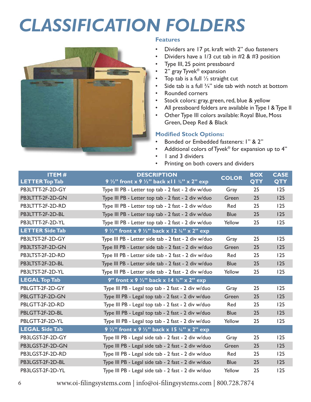# *CLASSIFICATION FOLDERS*



#### **Features**

- Dividers are 17 pt. kraft with 2" duo fasteners
- Dividers have a  $1/3$  cut tab in  $#2$  &  $#3$  position
- Type III, 25 point pressboard
- 2" gray Tyvek<sup>®</sup> expansion
- Top tab is a full  $\frac{1}{2}$  straight cut
- Side tab is a full  $\frac{3}{4}$ " side tab with notch at bottom
- Rounded corners
- Stock colors: gray, green, red, blue & yellow
- All pressboard folders are available in Type I & Type II
- Other Type III colors available: Royal Blue, Moss Green, Deep Red & Black

#### **Modified Stock Options:**

- Bonded or Embedded fasteners: 1" & 2"
- Additional colors of Tyvek® for expansion up to 4"
- I and 3 dividers
- Printing on both covers and dividers

| <b>ITEM#</b><br><b>LETTER Top Tab</b> | <b>DESCRIPTION</b><br>9 $\frac{1}{2}$ " front x 9 $\frac{1}{2}$ " back x l l $\frac{3}{4}$ " x 2" exp | <b>COLOR</b> | <b>BOX</b><br><b>QTY</b> | <b>CASE</b><br><b>QTY</b> |
|---------------------------------------|-------------------------------------------------------------------------------------------------------|--------------|--------------------------|---------------------------|
| PB3LTTT-2F-2D-GY                      | Type III PB - Letter top tab - 2 fast - 2 div w/duo                                                   | Gray         | 25                       | 125                       |
| PB3LTTT-2F-2D-GN                      | Type III PB - Letter top tab - 2 fast - 2 div w/duo                                                   | Green        | 25                       | 125                       |
| PB3LTTT-2F-2D-RD                      | Type III PB - Letter top tab - 2 fast - 2 div w/duo                                                   | Red          | 25                       | 125                       |
| PB3LTTT-2F-2D-BL                      | Type III PB - Letter top tab - 2 fast - 2 div w/duo                                                   | <b>Blue</b>  | 25                       | 125                       |
| PB3LTTT-2F-2D-YL                      | Type III PB - Letter top tab - 2 fast - 2 div w/duo                                                   | Yellow       | 25                       | 125                       |
| <b>LETTER Side Tab</b>                | 9 1/2" front x 9 1/2" back x 12 1/4" x 2" exp                                                         |              |                          |                           |
| PB3LTST-2F-2D-GY                      | Type III PB - Letter side tab - 2 fast - 2 div w/duo                                                  | Gray         | 25                       | 125                       |
| PB3LTST-2F-2D-GN                      | Type III PB - Letter side tab - 2 fast - 2 div w/duo                                                  | Green        | 25                       | 125                       |
| PB3LTST-2F-2D-RD                      | Type III PB - Letter side tab - 2 fast - 2 div w/duo                                                  | Red          | 25                       | 125                       |
| PB3LTST-2F-2D-BL                      | Type III PB - Letter side tab - 2 fast - 2 div w/duo                                                  | <b>Blue</b>  | 25                       | 125                       |
| PB3LTST-2F-2D-YL                      | Type III PB - Letter side tab - 2 fast - 2 div w/duo                                                  | Yellow       | 25                       | 125                       |
| <b>LEGAL Top Tab</b>                  | 9" front x 9 $\frac{1}{2}$ " back x 14 $\frac{3}{4}$ " x 2" exp                                       |              |                          |                           |
| PBLGTT-2F-2D-GY                       | Type III PB - Legal top tab - 2 fast - 2 div w/duo                                                    | Gray         | 25                       | 125                       |
| PBLGTT-2F-2D-GN                       | Type III PB - Legal top tab - 2 fast - 2 div w/duo                                                    | Green        | 25                       | 125                       |
| PBLGTT-2F-2D-RD                       | Type III PB - Legal top tab - 2 fast - 2 div w/duo                                                    | Red          | 25                       | 125                       |
| PBLGTT-2F-2D-BL                       | Type III PB - Legal top tab - 2 fast - 2 div w/duo                                                    | <b>Blue</b>  | 25                       | 125                       |
| PBLGTT-2F-2D-YL                       | Type III PB - Legal top tab - 2 fast - 2 div w/duo                                                    | Yellow       | 25                       | 125                       |
| <b>LEGAL Side Tab</b>                 | 9 $\frac{1}{2}$ " front x 9 $\frac{1}{2}$ " back x 15 $\frac{1}{4}$ " x 2" exp                        |              |                          |                           |
| PB3LGST-2F-2D-GY                      | Type III PB - Legal side tab - 2 fast - 2 div w/duo                                                   | Gray         | 25                       | 125                       |
| PB3LGST-2F-2D-GN                      | Type III PB - Legal side tab - 2 fast - 2 div w/duo                                                   | Green        | 25                       | 125                       |
| PB3LGST-2F-2D-RD                      | Type III PB - Legal side tab - 2 fast - 2 div w/duo                                                   | Red          | 25                       | 125                       |
| PB3LGST-2F-2D-BL                      | Type III PB - Legal side tab - 2 fast - 2 div w/duo                                                   | <b>Blue</b>  | 25                       | 125                       |
| PB3LGST-2F-2D-YL                      | Type III PB - Legal side tab - 2 fast - 2 div w/duo                                                   | Yellow       | 25                       | 125                       |

6 www.oi-filingsystems.com | info@oi-filingsystems.com | 800.728.7874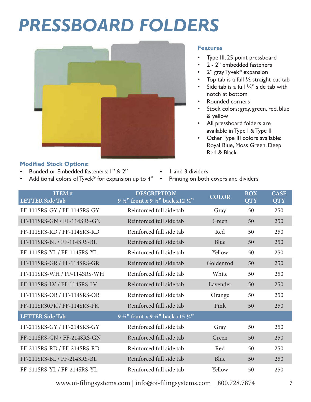# *PRESSBOARD FOLDERS*



#### **Features**

- Type III, 25 point pressboard
- 2 2" embedded fasteners
- 2" gray Tyvek<sup>®</sup> expansion
- Top tab is a full  $\frac{1}{2}$  straight cut tab
- Side tab is a full  $\frac{3}{4}$ " side tab with notch at bottom
- Rounded corners
- Stock colors: gray, green, red, blue & yellow
- All pressboard folders are available in Type I & Type II
- Other Type III colors available: Royal Blue, Moss Green, Deep Red & Black

#### **Modified Stock Options:**

- Bonded or Embedded fasteners: 1" & 2"
- Additional colors of Tyvek® for expansion up to 4"
- I and 3 dividers • Printing on both covers and dividers

| <b>ITEM#</b><br><b>LETTER</b> Side Tab | <b>DESCRIPTION</b><br>9 $\frac{1}{2}$ front x 9 $\frac{1}{2}$ back x12 $\frac{1}{4}$ " | <b>COLOR</b> | <b>BOX</b><br><b>QTY</b> | <b>CASE</b><br><b>QTY</b> |
|----------------------------------------|----------------------------------------------------------------------------------------|--------------|--------------------------|---------------------------|
| FF-111SRS-GY / FF-114SRS-GY            | Reinforced full side tab                                                               | Gray         | 50                       | 250                       |
| FF-111SRS-GN / FF-114SRS-GN            | Reinforced full side tab                                                               | Green        | 50                       | 250                       |
| FF-111SRS-RD / FF-114SRS-RD            | Reinforced full side tab                                                               | Red          | 50                       | 250                       |
| FF-111SRS-BL / FF-114SRS-BL            | Reinforced full side tab                                                               | Blue         | 50                       | 250                       |
| FF-111SRS-YL / FF-114SRS-YL            | Reinforced full side tab                                                               | Yellow       | 50                       | 250                       |
| FF-111SRS-GR / FF-114SRS-GR            | Reinforced full side tab                                                               | Goldenrod    | 50                       | 250                       |
| FF-111SRS-WH / FF-114SRS-WH            | Reinforced full side tab                                                               | White        | 50                       | 250                       |
| FF-111SRS-LV / FF-114SRS-LV            | Reinforced full side tab                                                               | Lavender     | 50                       | 250                       |
| FF-111SRS-OR / FF-114SRS-OR            | Reinforced full side tab                                                               | Orange       | 50                       | 250                       |
| FF-111SRS0PK / FF-114SRS-PK            | Reinforced full side tab                                                               | Pink         | 50                       | 250                       |
| <b>LETTER Side Tab</b>                 | 9 $\frac{1}{2}$ " front x 9 $\frac{1}{2}$ " back x 15 $\frac{1}{4}$ "                  |              |                          |                           |
| FF-211SRS-GY / FF-214SRS-GY            | Reinforced full side tab                                                               | Gray         | 50                       | 250                       |
| FF-211SRS-GN / FF-214SRS-GN            | Reinforced full side tab                                                               | Green        | 50                       | 250                       |
| FF-211SRS-RD / FF-214SRS-RD            | Reinforced full side tab                                                               | Red          | 50                       | 250                       |
| FF-211SRS-BL / FF-214SRS-BL            | Reinforced full side tab                                                               | Blue         | 50                       | 250                       |
| FF-211SRS-YL / FF-214SRS-YL            | Reinforced full side tab                                                               | Yellow       | 50                       | 250                       |
|                                        |                                                                                        |              |                          |                           |

www.oi-filingsystems.com | info@oi-filingsystems.com | 800.728.7874 7